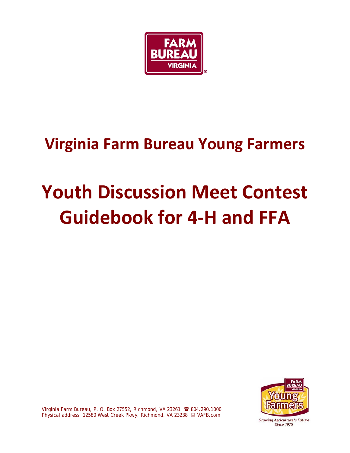

## **Virginia Farm Bureau Young Farmers**

# **Youth Discussion Meet Contest Guidebook for 4-H and FFA**



Virginia Farm Bureau, P. O. Box 27552, Richmond, VA 23261 <sup>8</sup> 804.290.1000 Physical address: 12580 West Creek Pkwy, Richmond, VA 23238 ■ VAFB.com

Growing Agriculture's Future **Since 1975**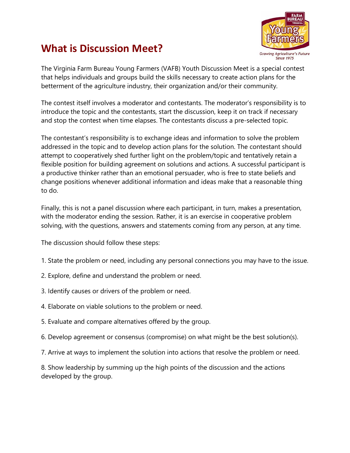

### **What is Discussion Meet?**

The Virginia Farm Bureau Young Farmers (VAFB) Youth Discussion Meet is a special contest that helps individuals and groups build the skills necessary to create action plans for the betterment of the agriculture industry, their organization and/or their community.

The contest itself involves a moderator and contestants. The moderator's responsibility is to introduce the topic and the contestants, start the discussion, keep it on track if necessary and stop the contest when time elapses. The contestants discuss a pre-selected topic.

The contestant's responsibility is to exchange ideas and information to solve the problem addressed in the topic and to develop action plans for the solution. The contestant should attempt to cooperatively shed further light on the problem/topic and tentatively retain a flexible position for building agreement on solutions and actions. A successful participant is a productive thinker rather than an emotional persuader, who is free to state beliefs and change positions whenever additional information and ideas make that a reasonable thing to do.

Finally, this is not a panel discussion where each participant, in turn, makes a presentation, with the moderator ending the session. Rather, it is an exercise in cooperative problem solving, with the questions, answers and statements coming from any person, at any time.

The discussion should follow these steps:

- 1. State the problem or need, including any personal connections you may have to the issue.
- 2. Explore, define and understand the problem or need.
- 3. Identify causes or drivers of the problem or need.
- 4. Elaborate on viable solutions to the problem or need.
- 5. Evaluate and compare alternatives offered by the group.
- 6. Develop agreement or consensus (compromise) on what might be the best solution(s).
- 7. Arrive at ways to implement the solution into actions that resolve the problem or need.

8. Show leadership by summing up the high points of the discussion and the actions developed by the group.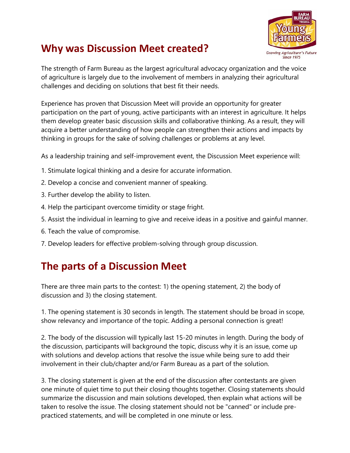#### **Why was Discussion Meet created?**



The strength of Farm Bureau as the largest agricultural advocacy organization and the voice of agriculture is largely due to the involvement of members in analyzing their agricultural challenges and deciding on solutions that best fit their needs.

Experience has proven that Discussion Meet will provide an opportunity for greater participation on the part of young, active participants with an interest in agriculture. It helps them develop greater basic discussion skills and collaborative thinking. As a result, they will acquire a better understanding of how people can strengthen their actions and impacts by thinking in groups for the sake of solving challenges or problems at any level.

As a leadership training and self-improvement event, the Discussion Meet experience will:

- 1. Stimulate logical thinking and a desire for accurate information.
- 2. Develop a concise and convenient manner of speaking.
- 3. Further develop the ability to listen.
- 4. Help the participant overcome timidity or stage fright.
- 5. Assist the individual in learning to give and receive ideas in a positive and gainful manner.
- 6. Teach the value of compromise.
- 7. Develop leaders for effective problem-solving through group discussion.

#### **The parts of a Discussion Meet**

There are three main parts to the contest: 1) the opening statement, 2) the body of discussion and 3) the closing statement.

1. The opening statement is 30 seconds in length. The statement should be broad in scope, show relevancy and importance of the topic. Adding a personal connection is great!

2. The body of the discussion will typically last 15-20 minutes in length. During the body of the discussion, participants will background the topic, discuss why it is an issue, come up with solutions and develop actions that resolve the issue while being sure to add their involvement in their club/chapter and/or Farm Bureau as a part of the solution.

3. The closing statement is given at the end of the discussion after contestants are given one minute of quiet time to put their closing thoughts together. Closing statements should summarize the discussion and main solutions developed, then explain what actions will be taken to resolve the issue. The closing statement should not be "canned" or include prepracticed statements, and will be completed in one minute or less.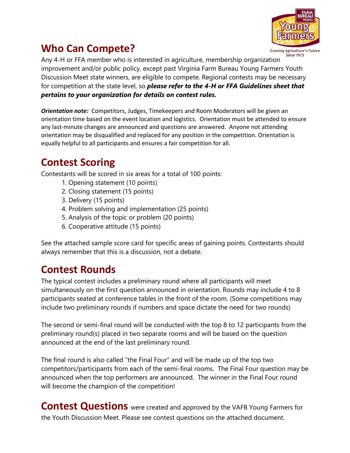

#### **Who Can Compete?**

**Since 1975** Any 4-H or FFA member who is interested in agriculture, membership organization improvement and/or public policy, except past Virginia Farm Bureau Young Farmers Youth Discussion Meet state winners, are eligible to compete. Regional contests may be necessary for competition at the state level, so *please refer to the 4-H or FFA Guidelines sheet that pertains to your organization for details on contest rules.*

*Orientation note:* Competitors, Judges, Timekeepers and Room Moderators will be given an orientation time based on the event location and logistics. Orientation must be attended to ensure any last-minute changes are announced and questions are answered. Anyone not attending orientation may be disqualified and replaced for any position in the competition. Orientation is equally helpful to all participants and ensures a fair competition for all.

#### **Contest Scoring**

Contestants will be scored in six areas for a total of 100 points:

- 1. Opening statement (10 points)
- 2. Closing statement (15 points)
- 3. Delivery (15 points)
- 4. Problem solving and implementation (25 points)
- 5. Analysis of the topic or problem (20 points)
- 6. Cooperative attitude (15 points)

See the attached sample score card for specific areas of gaining points. Contestants should always remember that this is a discussion, not a debate.

#### **Contest Rounds**

The typical contest includes a preliminary round where all participants will meet simultaneously on the first question announced in orientation. Rounds may include 4 to 8 participants seated at conference tables in the front of the room. (Some competitions may include two preliminary rounds if numbers and space dictate the need for two rounds)

The second or semi-final round will be conducted with the top 8 to 12 participants from the preliminary round(s) placed in two separate rooms and will be based on the question announced at the end of the last preliminary round.

The final round is also called "the Final Four" and will be made up of the top two competitors/participants from each of the semi-final rooms. The Final Four question may be announced when the top performers are announced. The winner in the Final Four round will become the champion of the competition!

**Contest Questions** were created and approved by the VAFB Young Farmers for the Youth Discussion Meet. Please see contest questions on the attached document.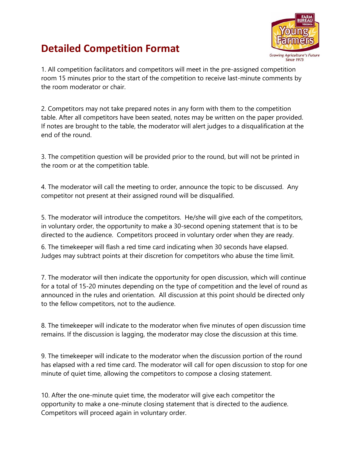# **Agriculture's Future**  $Since 1975$

#### **Detailed Competition Format**

1. All competition facilitators and competitors will meet in the pre-assigned competition room 15 minutes prior to the start of the competition to receive last-minute comments by the room moderator or chair.

2. Competitors may not take prepared notes in any form with them to the competition table. After all competitors have been seated, notes may be written on the paper provided. If notes are brought to the table, the moderator will alert judges to a disqualification at the end of the round.

3. The competition question will be provided prior to the round, but will not be printed in the room or at the competition table.

4. The moderator will call the meeting to order, announce the topic to be discussed. Any competitor not present at their assigned round will be disqualified.

5. The moderator will introduce the competitors. He/she will give each of the competitors, in voluntary order, the opportunity to make a 30-second opening statement that is to be directed to the audience. Competitors proceed in voluntary order when they are ready.

6. The timekeeper will flash a red time card indicating when 30 seconds have elapsed. Judges may subtract points at their discretion for competitors who abuse the time limit.

7. The moderator will then indicate the opportunity for open discussion, which will continue for a total of 15-20 minutes depending on the type of competition and the level of round as announced in the rules and orientation. All discussion at this point should be directed only to the fellow competitors, not to the audience.

8. The timekeeper will indicate to the moderator when five minutes of open discussion time remains. If the discussion is lagging, the moderator may close the discussion at this time.

9. The timekeeper will indicate to the moderator when the discussion portion of the round has elapsed with a red time card. The moderator will call for open discussion to stop for one minute of quiet time, allowing the competitors to compose a closing statement.

10. After the one-minute quiet time, the moderator will give each competitor the opportunity to make a one-minute closing statement that is directed to the audience. Competitors will proceed again in voluntary order.